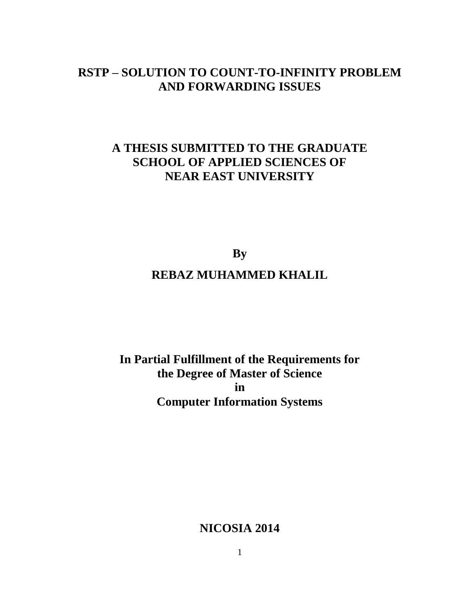# **RSTP – SOLUTION TO COUNT-TO-INFINITY PROBLEM AND FORWARDING ISSUES**

## **A THESIS SUBMITTED TO THE GRADUATE SCHOOL OF APPLIED SCIENCES OF NEAR EAST UNIVERSITY**

**By**

#### **REBAZ MUHAMMED KHALIL**

# **In Partial Fulfillment of the Requirements for the Degree of Master of Science in Computer Information Systems**

#### **NICOSIA 2014**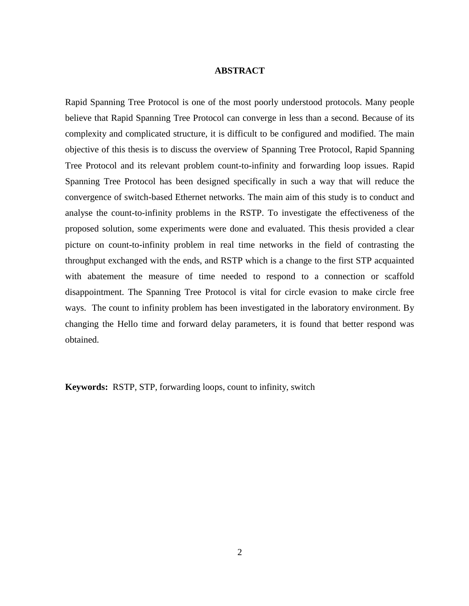#### **ABSTRACT**

Rapid Spanning Tree Protocol is one of the most poorly understood protocols. Many people believe that Rapid Spanning Tree Protocol can converge in less than a second. Because of its complexity and complicated structure, it is difficult to be configured and modified. The main objective of this thesis is to discuss the overview of Spanning Tree Protocol, Rapid Spanning Tree Protocol and its relevant problem count-to-infinity and forwarding loop issues. Rapid Spanning Tree Protocol has been designed specifically in such a way that will reduce the convergence of switch-based Ethernet networks. The main aim of this study is to conduct and analyse the count-to-infinity problems in the RSTP. To investigate the effectiveness of the proposed solution, some experiments were done and evaluated. This thesis provided a clear picture on count-to-infinity problem in real time networks in the field of contrasting the throughput exchanged with the ends, and RSTP which is a change to the first STP acquainted with abatement the measure of time needed to respond to a connection or scaffold disappointment. The Spanning Tree Protocol is vital for circle evasion to make circle free ways. The count to infinity problem has been investigated in the laboratory environment. By changing the Hello time and forward delay parameters, it is found that better respond was obtained.

**Keywords:** RSTP, STP, forwarding loops, count to infinity, switch